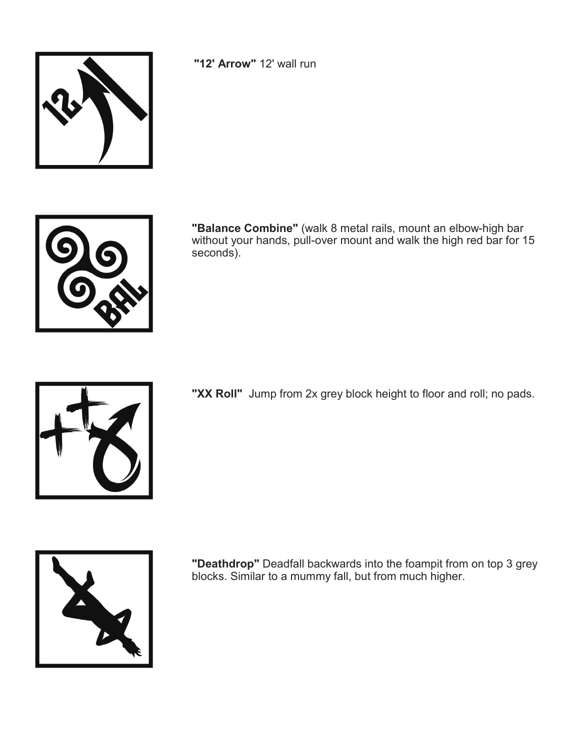

**"12' Arrow"** 12' wall run



**"Balance Combine"** (walk 8 metal rails, mount an elbow-high bar without your hands, pull-over mount and walk the high red bar for 15 seconds).



**"XX Roll"** Jump from 2x grey block height to floor and roll; no pads.



**"Deathdrop"** Deadfall backwards into the foampit from on top 3 grey blocks. Similar to a mummy fall, but from much higher.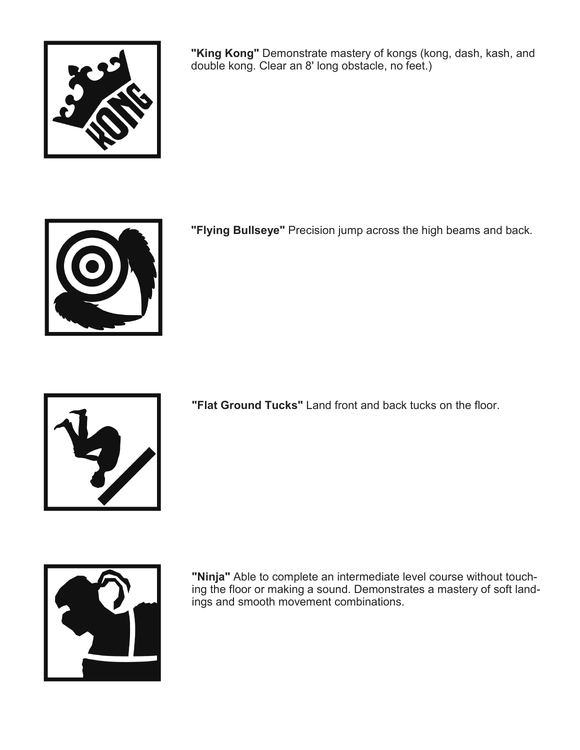

**"King Kong"** Demonstrate mastery of kongs (kong, dash, kash, and double kong. Clear an 8' long obstacle, no feet.)



**"Flying Bullseye"** Precision jump across the high beams and back.



**"Flat Ground Tucks"** Land front and back tucks on the floor.



**"Ninja"** Able to complete an intermediate level course without touching the floor or making a sound. Demonstrates a mastery of soft landings and smooth movement combinations.